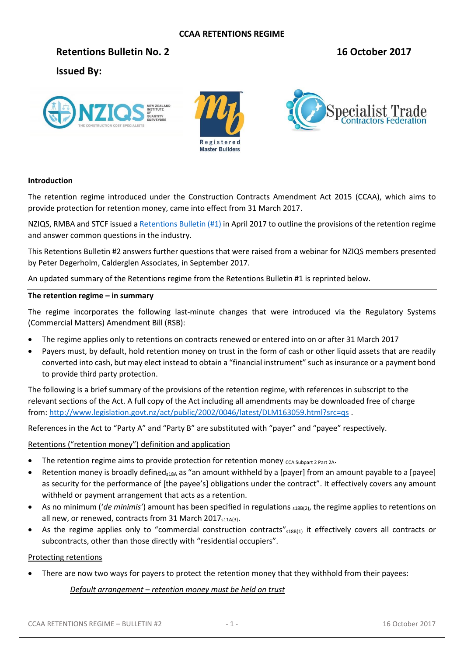#### **CCAA RETENTIONS REGIME**

#### **Retentions Bulletin No. 2 16 October 2017**

# **Issued By:**







#### **Introduction**

The retention regime introduced under the Construction Contracts Amendment Act 2015 (CCAA), which aims to provide protection for retention money, came into effect from 31 March 2017.

NZIQS, RMBA and STCF issued a [Retentions Bulletin \(#1\)](http://www.nziqs.co.nz/Resources/Construction-Contracts-Amendment-Act-2015) in April 2017 to outline the provisions of the retention regime and answer common questions in the industry.

This Retentions Bulletin #2 answers further questions that were raised from a webinar for NZIQS members presented by Peter Degerholm, Calderglen Associates, in September 2017.

An updated summary of the Retentions regime from the Retentions Bulletin #1 is reprinted below.

#### **The retention regime – in summary**

The regime incorporates the following last-minute changes that were introduced via the Regulatory Systems (Commercial Matters) Amendment Bill (RSB):

- The regime applies only to retentions on contracts renewed or entered into on or after 31 March 2017
- Payers must, by default, hold retention money on trust in the form of cash or other liquid assets that are readily converted into cash, but may elect instead to obtain a "financial instrument" such as insurance or a payment bond to provide third party protection.

The following is a brief summary of the provisions of the retention regime, with references in subscript to the relevant sections of the Act. A full copy of the Act including all amendments may be downloaded free of charge from:<http://www.legislation.govt.nz/act/public/2002/0046/latest/DLM163059.html?src=qs> .

References in the Act to "Party A" and "Party B" are substituted with "payer" and "payee" respectively.

#### Retentions ("retention money") definition and application

- The retention regime aims to provide protection for retention money  $ccA Subpart 2 Part 2A$ .
- Retention money is broadly defined<sub>518A</sub> as "an amount withheld by a [payer] from an amount payable to a [payee] as security for the performance of [the payee's] obligations under the contract". It effectively covers any amount withheld or payment arrangement that acts as a retention.
- As no minimum ('*de minimis'*) amount has been specified in regulations <sub>\$18B(2)</sub>, the regime applies to retentions on all new, or renewed, contracts from 31 March 2017 $_{511A(3)}$ .
- As the regime applies only to "commercial construction contracts" $_{518B(1)}$  it effectively covers all contracts or subcontracts, other than those directly with "residential occupiers".

#### Protecting retentions

There are now two ways for payers to protect the retention money that they withhold from their payees:

#### *Default arrangement – retention money must be held on trust*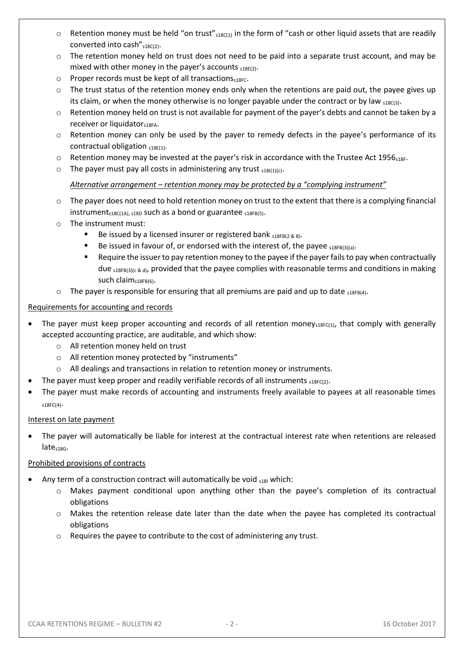- $\circ$  Retention money must be held "on trust"  $_{s18C(1)}$  in the form of "cash or other liquid assets that are readily converted into cash" $_{s18C(2)}$ .
- $\circ$  The retention money held on trust does not need to be paid into a separate trust account, and may be mixed with other money in the payer's accounts  $_{518E(2)}$ .
- o Proper records must be kept of all transactions $s_{18}$ Fc.
- $\circ$  The trust status of the retention money ends only when the retentions are paid out, the payee gives up its claim, or when the money otherwise is no longer payable under the contract or by law  $_{518C(3)}$ .
- o Retention money held on trust is not available for payment of the payer's debts and cannot be taken by a receiver or liquidator<sub>s18FA</sub>.
- o Retention money can only be used by the payer to remedy defects in the payee's performance of its contractual obligation  $s_1$ <sub>8E(1)</sub>.
- $\circ$  Retention money may be invested at the payer's risk in accordance with the Trustee Act 1956<sub>518F</sub>.
- $\circ$  The payer must pay all costs in administering any trust  $_{s18I(1)(c)}$ .

## *Alternative arrangement – retention money may be protected by a "complying instrument"*

- $\circ$  The payer does not need to hold retention money on trust to the extent that there is a complying financial instrument<sub>s18C(1A), s18D</sub> such as a bond or guarantee  $_{s18FB(5)}$ .
- o The instrument must:
	- Be issued by a licensed insurer or registered bank  $s_1$ 8FB(2 & 8).
	- Be issued in favour of, or endorsed with the interest of, the payee  $\frac{5}{18FB(3)(a)}$ .
	- Require the issuer to pay retention money to the payee if the payer fails to pay when contractually due  $s_18FB(3)(c & d)$ , provided that the payee complies with reasonable terms and conditions in making such claim<sub>s18FB(6)</sub>.
- $\circ$  The payer is responsible for ensuring that all premiums are paid and up to date  $_{518FB(4)}$ .

#### Requirements for accounting and records

- The payer must keep proper accounting and records of all retention money<sub>s18FC(1)</sub>, that comply with generally accepted accounting practice, are auditable, and which show:
	- o All retention money held on trust
	- o All retention money protected by "instruments"
	- o All dealings and transactions in relation to retention money or instruments.
	- The payer must keep proper and readily verifiable records of all instruments  $\frac{1}{2}$ SEC(2).
- The payer must make records of accounting and instruments freely available to payees at all reasonable times s18FC(4).

## Interest on late payment

 The payer will automatically be liable for interest at the contractual interest rate when retentions are released late<sub>s18G</sub>.

## Prohibited provisions of contracts

- Any term of a construction contract will automatically be void  $_{518I}$  which:
	- o Makes payment conditional upon anything other than the payee's completion of its contractual obligations
	- o Makes the retention release date later than the date when the payee has completed its contractual obligations
	- o Requires the payee to contribute to the cost of administering any trust.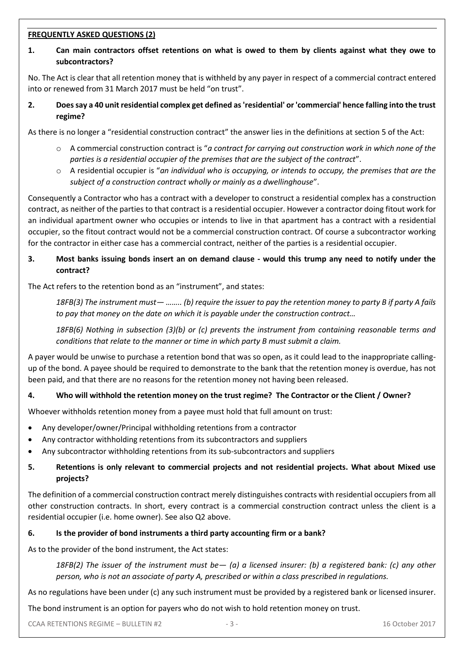#### **FREQUENTLY ASKED QUESTIONS (2)**

# **1. Can main contractors offset retentions on what is owed to them by clients against what they owe to subcontractors?**

No. The Act is clear that all retention money that is withheld by any payer in respect of a commercial contract entered into or renewed from 31 March 2017 must be held "on trust".

**2. Does say a 40 unit residential complex get defined as 'residential' or 'commercial' hence falling into the trust regime?**

As there is no longer a "residential construction contract" the answer lies in the definitions at section 5 of the Act:

- o A commercial construction contract is "*a contract for carrying out construction work in which none of the parties is a residential occupier of the premises that are the subject of the contract*".
- o A residential occupier is "*an individual who is occupying, or intends to occupy, the premises that are the subject of a construction contract wholly or mainly as a dwellinghouse*".

Consequently a Contractor who has a contract with a developer to construct a residential complex has a construction contract, as neither of the parties to that contract is a residential occupier. However a contractor doing fitout work for an individual apartment owner who occupies or intends to live in that apartment has a contract with a residential occupier, so the fitout contract would not be a commercial construction contract. Of course a subcontractor working for the contractor in either case has a commercial contract, neither of the parties is a residential occupier.

## **3. Most banks issuing bonds insert an on demand clause - would this trump any need to notify under the contract?**

The Act refers to the retention bond as an "instrument", and states:

*18FB(3) The instrument must— …….. (b) require the issuer to pay the retention money to party B if party A fails to pay that money on the date on which it is payable under the construction contract…*

*18FB(6) Nothing in subsection (3)(b) or (c) prevents the instrument from containing reasonable terms and conditions that relate to the manner or time in which party B must submit a claim.*

A payer would be unwise to purchase a retention bond that was so open, as it could lead to the inappropriate callingup of the bond. A payee should be required to demonstrate to the bank that the retention money is overdue, has not been paid, and that there are no reasons for the retention money not having been released.

## **4. Who will withhold the retention money on the trust regime? The Contractor or the Client / Owner?**

Whoever withholds retention money from a payee must hold that full amount on trust:

- Any developer/owner/Principal withholding retentions from a contractor
- Any contractor withholding retentions from its subcontractors and suppliers
- Any subcontractor withholding retentions from its sub-subcontractors and suppliers

# **5. Retentions is only relevant to commercial projects and not residential projects. What about Mixed use projects?**

The definition of a commercial construction contract merely distinguishes contracts with residential occupiers from all other construction contracts. In short, every contract is a commercial construction contract unless the client is a residential occupier (i.e. home owner). See also Q2 above.

#### **6. Is the provider of bond instruments a third party accounting firm or a bank?**

As to the provider of the bond instrument, the Act states:

*18FB(2) The issuer of the instrument must be— (a) a licensed insurer: (b) a registered bank: (c) any other person, who is not an associate of party A, prescribed or within a class prescribed in regulations.*

As no regulations have been under (c) any such instrument must be provided by a registered bank or licensed insurer.

The bond instrument is an option for payers who do not wish to hold retention money on trust.

CCAA RETENTIONS REGIME – BULLETIN #2  $-3 -3 -$  16 October 2017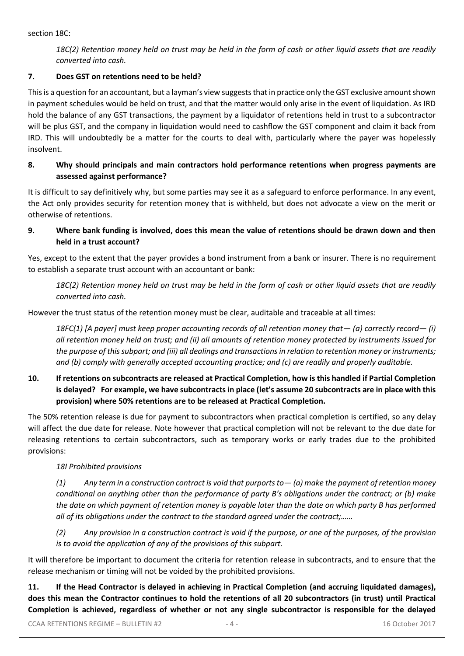section 18C:

*18C(2) Retention money held on trust may be held in the form of cash or other liquid assets that are readily converted into cash.*

# **7. Does GST on retentions need to be held?**

This is a question for an accountant, but a layman's view suggests that in practice only the GST exclusive amount shown in payment schedules would be held on trust, and that the matter would only arise in the event of liquidation. As IRD hold the balance of any GST transactions, the payment by a liquidator of retentions held in trust to a subcontractor will be plus GST, and the company in liquidation would need to cashflow the GST component and claim it back from IRD. This will undoubtedly be a matter for the courts to deal with, particularly where the payer was hopelessly insolvent.

## **8. Why should principals and main contractors hold performance retentions when progress payments are assessed against performance?**

It is difficult to say definitively why, but some parties may see it as a safeguard to enforce performance. In any event, the Act only provides security for retention money that is withheld, but does not advocate a view on the merit or otherwise of retentions.

# **9. Where bank funding is involved, does this mean the value of retentions should be drawn down and then held in a trust account?**

Yes, except to the extent that the payer provides a bond instrument from a bank or insurer. There is no requirement to establish a separate trust account with an accountant or bank:

*18C(2) Retention money held on trust may be held in the form of cash or other liquid assets that are readily converted into cash.*

However the trust status of the retention money must be clear, auditable and traceable at all times:

*18FC(1) [A payer] must keep proper accounting records of all retention money that— (a) correctly record— (i) all retention money held on trust; and (ii) all amounts of retention money protected by instruments issued for the purpose of this subpart; and (iii) all dealings and transactions in relation to retention money or instruments; and (b) comply with generally accepted accounting practice; and (c) are readily and properly auditable.*

# **10. If retentions on subcontracts are released at Practical Completion, how is this handled if Partial Completion is delayed? For example, we have subcontracts in place (let's assume 20 subcontracts are in place with this provision) where 50% retentions are to be released at Practical Completion.**

The 50% retention release is due for payment to subcontractors when practical completion is certified, so any delay will affect the due date for release. Note however that practical completion will not be relevant to the due date for releasing retentions to certain subcontractors, such as temporary works or early trades due to the prohibited provisions:

# *18I Prohibited provisions*

*(1) Any term in a construction contract is void that purports to— (a) make the payment of retention money conditional on anything other than the performance of party B's obligations under the contract; or (b) make the date on which payment of retention money is payable later than the date on which party B has performed all of its obligations under the contract to the standard agreed under the contract;……*

*(2) Any provision in a construction contract is void if the purpose, or one of the purposes, of the provision is to avoid the application of any of the provisions of this subpart.*

It will therefore be important to document the criteria for retention release in subcontracts, and to ensure that the release mechanism or timing will not be voided by the prohibited provisions.

**11. If the Head Contractor is delayed in achieving in Practical Completion (and accruing liquidated damages), does this mean the Contractor continues to hold the retentions of all 20 subcontractors (in trust) until Practical Completion is achieved, regardless of whether or not any single subcontractor is responsible for the delayed**